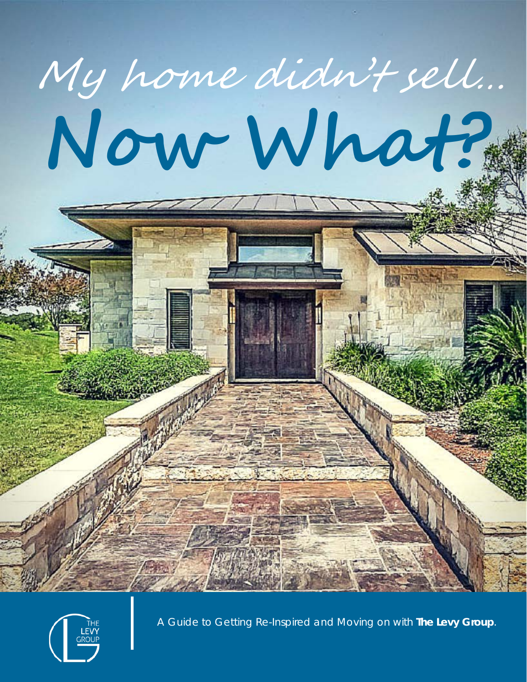



A Guide to Getting Re-Inspired and Moving on with **The Levy Group**.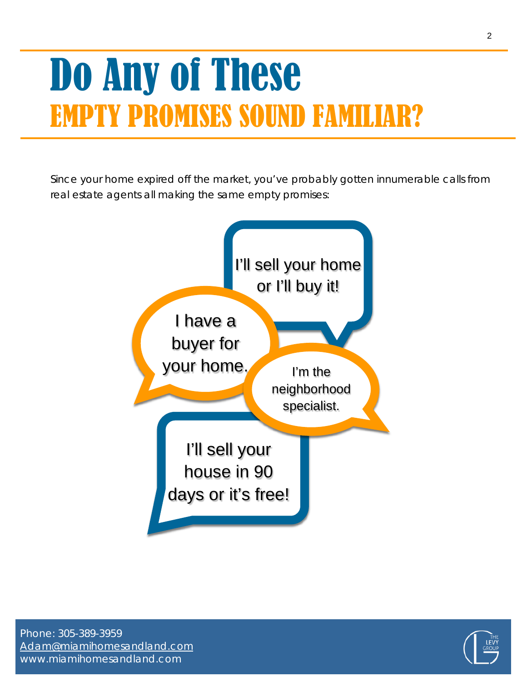## Do Any of These EMPTY PROMISES SOUND FAMIL

Since your home expired off the market, you've probably gotten innumerable calls from real estate agents all making the same empty promises:



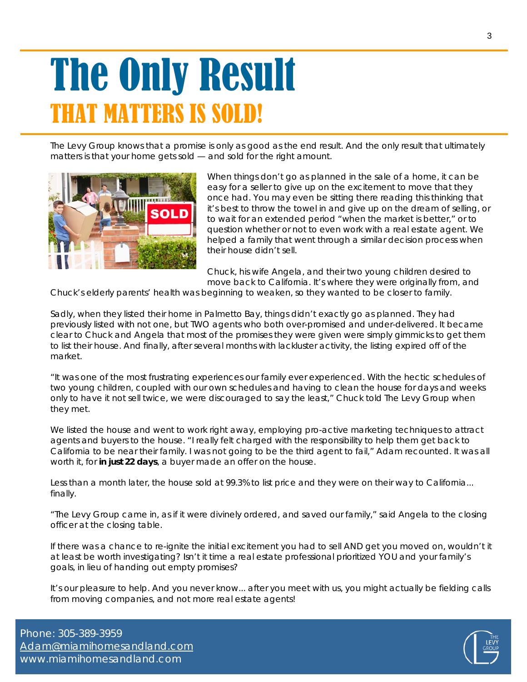### The Only Result THAT MATTERS IS SOLD!

The Levy Group knows that a promise is only as good as the end result. And the only result that ultimately matters is that your home gets sold — and sold for the right amount.



When things don't go as planned in the sale of a home, it can be easy for a seller to give up on the excitement to move that they once had. You may even be sitting there reading this thinking that it's best to throw the towel in and give up on the dream of selling, or to wait for an extended period *"when the market is better,"* or to question whether or not to even work with a real estate agent. We helped a family that went through a similar decision process when their house didn't sell.

Chuck, his wife Angela, and their two young children desired to move back to California. It's where they were originally from, and

Chuck's elderly parents' health was beginning to weaken, so they wanted to be closer to family.

Sadly, when they listed their home in Palmetto Bay, things didn't exactly go as planned. They had previously listed with not one, but TWO agents who both over-promised and under-delivered. It became clear to Chuck and Angela that most of the promises they were given were simply gimmicks to get them to list their house. And finally, after several months with lackluster activity, the listing expired off of the market.

*"It was one of the most frustrating experiences our family ever experienced. With the hectic schedules of* two young children, coupled with our own schedules and having to clean the house for days and weeks *only to have it not sell twice, we were discouraged to say the least,"* Chuck told The Levy Group when they met.

We listed the house and went to work right away, employing pro-active marketing techniques to attract agents and buyers to the house. *"I really felt charged with the responsibility to help them get back to* California to be near their family. I was not going to be the third agent to fail," Adam recounted. It was all worth it, for **in just 22 days**, a buyer made an offer on the house.

Less than a month later, the house sold at 99.3% to list price and they were on their way to California... finally.

*"The Levy Group came in, as if it were divinely ordered, and saved our family,"* said Angela to the closing officer at the closing table.

If there was a chance to re-ignite the initial excitement you had to sell AND get you moved on, wouldn't it at least be worth investigating? Isn't it time a real estate professional prioritized YOU and your family's goals, in lieu of handing out empty promises?

It's our pleasure to help. And you never know... after you meet with us, you might actually be fielding calls from moving companies, and not more real estate agents!

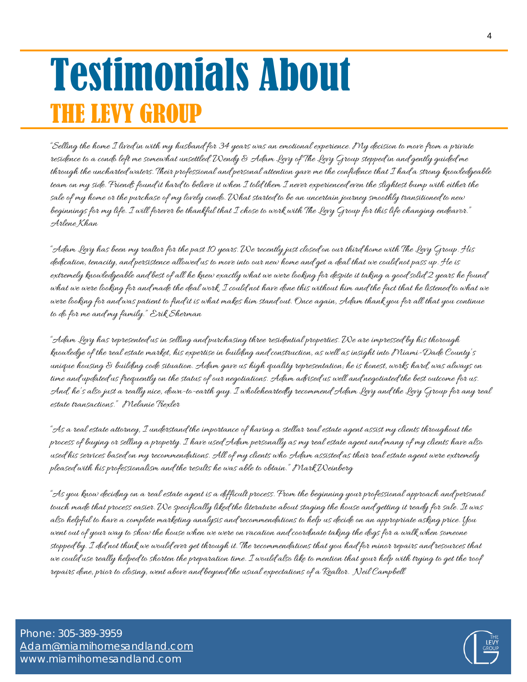### Testimonials About THE LEVY GROUP

"Selling the home I lived in with my husband for 34 years was an emotional experience. My decision to move from a private residence to a condo left me somewhat unsettled. Wendy & Adam Levy of The Levy Group stepped in and gently guided me through the uncharted waters. Their professional and personal attention gave me the confidence that I had a strong knowledgeable team on my side. Friends found it hard to believe it when I told them I never experienced even the slightest bump with either the sale of my home or the purchase of my lovely condo. What started to be an uncertain journey smoothly transitioned to new beginnings for my life. I will forever be thankful that I chose to work with The Levy Group for this life changing endeavor." Arlene Khan

"Adam Levy has been my realtor for the past 10 years. We recently just closed on our third home with The Levy Group. His dedication, tenacity, and persistence allowed us to move into our new home and get a deal that we could not pass up. He is extremely knowledgeable and best of all he knew exactly what we were looking for despite it taking a good solid 2 years he found what we were looking for and made the deal work. I could not have done this without him and the fact that he listened to what we were looking for and was patient to find it is what makes him stand out. Once again, Adam thank you for all that you continue to do for me and my family." Erik Sherman

"Adam Levy has represented us in selling and purchasing three residential properties. We are impressed by his thorough knowledge of the real estate market, his expertise in building and construction, as well as insight into Miami-Dade County's unique housing & building code situation. Adam gave us high quality representation; he is honest, works hard, was always on time and updated us frequently on the status of our negotiations. Adam advised us well and negotiated the best outcome for us. And, he's also just a really nice, down-to-earth guy. I wholeheartedly recommend Adam Levy and the Levy Group for any real estate transactions." Melanie Trexler

"As a real estate attorney, I understand the importance of having a stellar real estate agent assist my clients throughout the process of buying or selling a property. I have used Adam personally as my real estate agent and many of my clients have also used his services based on my recommendations. All of my clients who Adam assisted as their real estate agent were extremely pleased with his professionalism and the results he was able to obtain." Mark Weinberg

"As you know deciding on a real estate agent is a difficult process. From the beginning your professional approach and personal touch made that process easier. We specifically liked the literature about staging the house and getting it ready for sale. It was also helpful to have a complete marketing analysis and recommendations to help us decide on an appropriate asking price. You went out of your way to show the house when we were on vacation and coordinate taking the dogs for a walk when someone stopped by. I did not think we would ever get through it. The recommendations that you had for minor repairs and resources that we could use really helped to shorten the preparation time. I would also like to mention that your help with trying to get the roof repairs done, prior to closing, went above and beyond the usual expectations of a Realtor. Neil Campbell

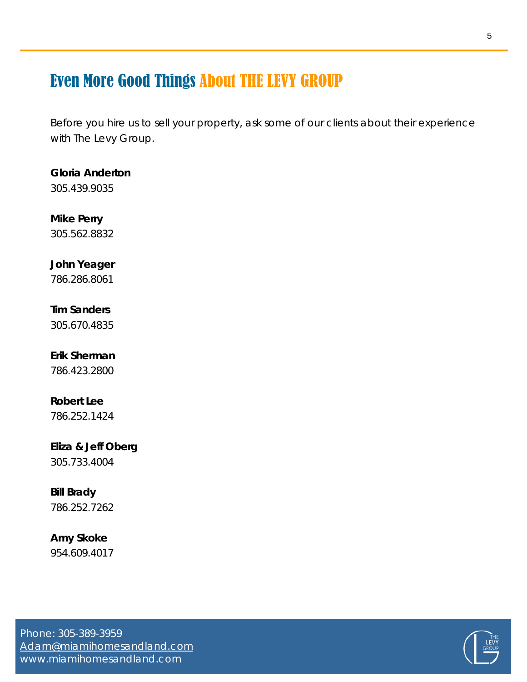### Even More Good Things About THE LEVY GROUP

Before you hire us to sell your property, ask some of our clients about their experience with The Levy Group.

#### **Gloria Anderton**

305.439.9035

#### **Mike Perry**

305.562.8832

#### **John Yeager**

786.286.8061

#### **Tim Sanders**

305.670.4835

#### **Erik Sherman**

786.423.2800

#### **Robert Lee**

786.252.1424

#### **Eliza & Jeff Oberg**

305.733.4004

#### **Bill Brady**

786.252.7262

#### **Amy Skoke**

954.609.4017

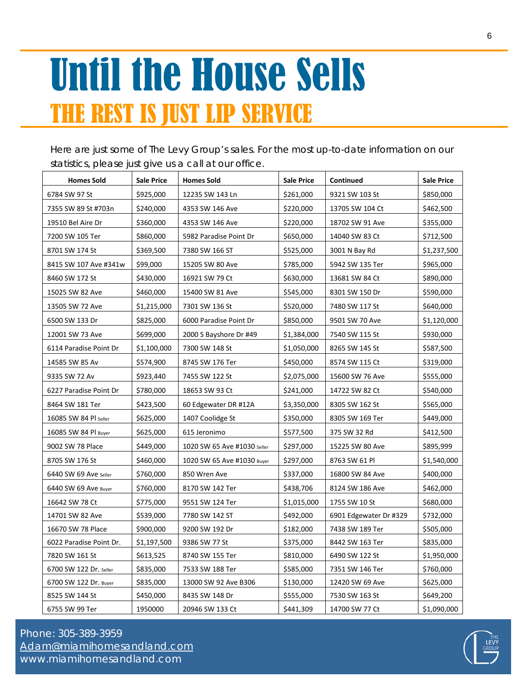### Until the House Sells THE REST IS JUST LIP SERVICE

Here are just some of The Levy Group's sales. For the most up-to-date information on our statistics, please just give us a call at our office.

| <b>Homes Sold</b>       | <b>Sale Price</b> | <b>Homes Sold</b>           | <b>Sale Price</b> | Continued              | <b>Sale Price</b> |
|-------------------------|-------------------|-----------------------------|-------------------|------------------------|-------------------|
| 6784 SW 97 St           | \$925,000         | 12235 SW 143 Ln             | \$261,000         | 9321 SW 103 St         | \$850,000         |
| 7355 SW 89 St #703n     | \$240,000         | 4353 SW 146 Ave             | \$220,000         | 13705 SW 104 Ct        | \$462,500         |
| 19510 Bel Aire Dr       | \$360,000         | 4353 SW 146 Ave             | \$220,000         | 18702 SW 91 Ave        | \$355,000         |
| 7200 SW 105 Ter         | \$860,000         | 5982 Paradise Point Dr      | \$650,000         | 14040 SW 83 Ct         | \$712,500         |
| 8701 SW 174 St          | \$369,500         | 7380 SW 166 ST              | \$525,000         | 3001 N Bay Rd          | \$1,237,500       |
| 8415 SW 107 Ave #341w   | \$99,000          | 15205 SW 80 Ave             | \$785,000         | 5942 SW 135 Ter        | \$965,000         |
| 8460 SW 172 St          | \$430,000         | 16921 SW 79 Ct              | \$630,000         | 13681 SW 84 Ct         | \$890,000         |
| 15025 SW 82 Ave         | \$460,000         | 15400 SW 81 Ave             | \$545,000         | 8301 SW 150 Dr         | \$590,000         |
| 13505 SW 72 Ave         | \$1,215,000       | 7301 SW 136 St              | \$520,000         | 7480 SW 117 St         | \$640,000         |
| 6500 SW 133 Dr          | \$825,000         | 6000 Paradise Point Dr      | \$850,000         | 9501 SW 70 Ave         | \$1,120,000       |
| 12001 SW 73 Ave         | \$699,000         | 2000 S Bayshore Dr #49      | \$1,384,000       | 7540 SW 115 St         | \$930,000         |
| 6114 Paradise Point Dr  | \$1,100,000       | 7300 SW 148 St              | \$1,050,000       | 8265 SW 145 St         | \$587,500         |
| 14585 SW 85 Av          | \$574,900         | 8745 SW 176 Ter             | \$450,000         | 8574 SW 115 Ct         | \$319,000         |
| 9335 SW 72 Av           | \$923,440         | 7455 SW 122 St              | \$2,075,000       | 15600 SW 76 Ave        | \$555,000         |
| 6227 Paradise Point Dr  | \$780,000         | 18653 SW 93 Ct              | \$241,000         | 14722 SW 82 Ct         | \$540,000         |
| 8464 SW 181 Ter         | \$423,500         | 60 Edgewater DR #12A        | \$3,350,000       | 8305 SW 162 St         | \$565,000         |
| 16085 SW 84 PI seller   | \$625,000         | 1407 Coolidge St            | \$350,000         | 8305 SW 169 Ter        | \$449,000         |
| 16085 SW 84 PI Buyer    | \$625,000         | 615 Jeronimo                | \$577,500         | 375 SW 32 Rd           | \$412,500         |
| 9002 SW 78 Place        | \$449,000         | 1020 SW 65 Ave #1030 Seller | \$297,000         | 15225 SW 80 Ave        | \$895,999         |
| 8705 SW 176 St          | \$460,000         | 1020 SW 65 Ave #1030 Buyer  | \$297,000         | 8763 SW 61 PI          | \$1,540,000       |
| 6440 SW 69 Ave Seller   | \$760,000         | 850 Wren Ave                | \$337,000         | 16800 SW 84 Ave        | \$400,000         |
| 6440 SW 69 Ave Buyer    | \$760,000         | 8170 SW 142 Ter             | \$438,706         | 8124 SW 186 Ave        | \$462,000         |
| 16642 SW 78 Ct          | \$775,000         | 9551 SW 124 Ter             | \$1,015,000       | 1755 SW 10 St          | \$680,000         |
| 14701 SW 82 Ave         | \$539,000         | 7780 SW 142 ST              | \$492,000         | 6901 Edgewater Dr #329 | \$732,000         |
| 16670 SW 78 Place       | \$900,000         | 9200 SW 192 Dr              | \$182,000         | 7438 SW 189 Ter        | \$505,000         |
| 6022 Paradise Point Dr. | \$1,197,500       | 9386 SW 77 St               | \$375,000         | 8442 SW 163 Ter        | \$835,000         |
| 7820 SW 161 St          | \$613,525         | 8740 SW 155 Ter             | \$810,000         | 6490 SW 122 St         | \$1,950,000       |
| 6700 SW 122 Dr. Seller  | \$835,000         | 7533 SW 188 Ter             | \$585,000         | 7351 SW 146 Ter        | \$760,000         |
| 6700 SW 122 Dr. Buyer   | \$835,000         | 13000 SW 92 Ave B306        | \$130,000         | 12420 SW 69 Ave        | \$625,000         |
| 8525 SW 144 St          | \$450,000         | 8435 SW 148 Dr              | \$555,000         | 7530 SW 163 St         | \$649,200         |
| 6755 SW 99 Ter          | 1950000           | 20946 SW 133 Ct             | \$441,309         | 14700 SW 77 Ct         | \$1,090,000       |

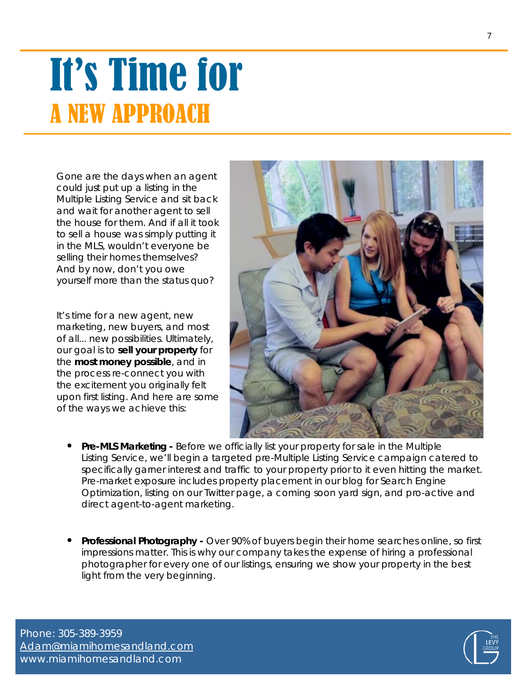### It's Time for A NEW APPROACH

Gone are the days when an agent could just put up a listing in the Multiple Listing Service and sit back and wait for another agent to sell the house for them. And if all it took to sell a house was simply putting it in the MLS, wouldn't everyone be selling their homes themselves? And by now, don't you owe yourself more than the status quo?

It's time for a new agent, new marketing, new buyers, and most of all... new possibilities. Ultimately, our goal is to **sell your property** for the **most money possible**, and in the process re-connect you with the excitement you originally felt upon first listing. And here are some of the ways we achieve this:



- **• Pre-MLS Marketing -** Before we officially list your property for sale in the Multiple Listing Service, we'll begin a targeted pre-Multiple Listing Service campaign catered to specifically garner interest and traffic to your property prior to it even hitting the market. Pre-market exposure includes property placement in our blog for Search Engine Optimization, listing on our Twitter page, a coming soon yard sign, and pro-active and direct agent-to-agent marketing.
- **• Professional Photography -** Over 90% of buyers begin their home searches online, so first impressions matter. This is why our company takes the expense of hiring a professional photographer for every one of our listings, ensuring we show your property in the best light from the very beginning.

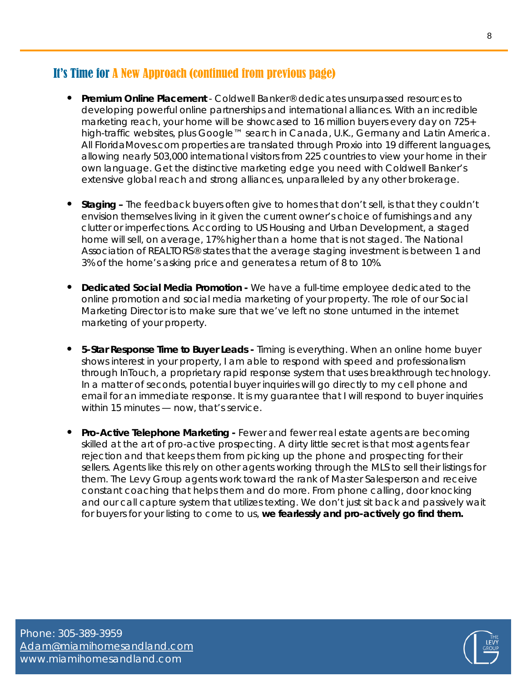#### It's Time for A New Approach (continued from previous page)

- **• Premium Online Placement** Coldwell Banker® dedicates unsurpassed resources to developing powerful online partnerships and international alliances. With an incredible marketing reach, your home will be showcased to 16 million buyers every day on 725+ high-traffic websites, plus Google™ search in Canada, U.K., Germany and Latin America. All FloridaMoves.com properties are translated through Proxio into 19 different languages, allowing nearly 503,000 international visitors from 225 countries to view your home in their own language. Get the distinctive marketing edge you need with Coldwell Banker's extensive global reach and strong alliances, unparalleled by any other brokerage.
- **• Staging –** The feedback buyers often give to homes that don't sell, is that they couldn't envision themselves living in it given the current owner's choice of furnishings and any clutter or imperfections. According to US Housing and Urban Development, a staged home will sell, on average, 17% higher than a home that is not staged. The National Association of REALTORS® states that the average staging investment is between 1 and 3% of the home's asking price and generates a return of 8 to 10%.
- **• Dedicated Social Media Promotion -** We have a full-time employee dedicated to the online promotion and social media marketing of your property. The role of our Social Marketing Director is to make sure that we've left no stone unturned in the internet marketing of your property.
- **• 5-Star Response Time to Buyer Leads -** Timing is everything. When an online home buyer shows interest in your property, I am able to respond with speed and professionalism through InTouch, a proprietary rapid response system that uses breakthrough technology. In a matter of seconds, potential buyer inquiries will go directly to my cell phone and email for an immediate response. It is my guarantee that I will respond to buyer inquiries within 15 minutes — now, that's service.
- **• Pro-Active Telephone Marketing -** Fewer and fewer real estate agents are becoming skilled at the art of pro-active prospecting. A dirty little secret is that most agents fear rejection and that keeps them from picking up the phone and prospecting for their sellers. Agents like this rely on other agents working through the MLS to sell their listings for them. The Levy Group agents work toward the rank of Master Salesperson and receive constant coaching that helps them and do more. From phone calling, door knocking and our call capture system that utilizes texting. We don't just sit back and passively wait for buyers for your listing to come to us, **we fearlessly and pro-actively go find them.**

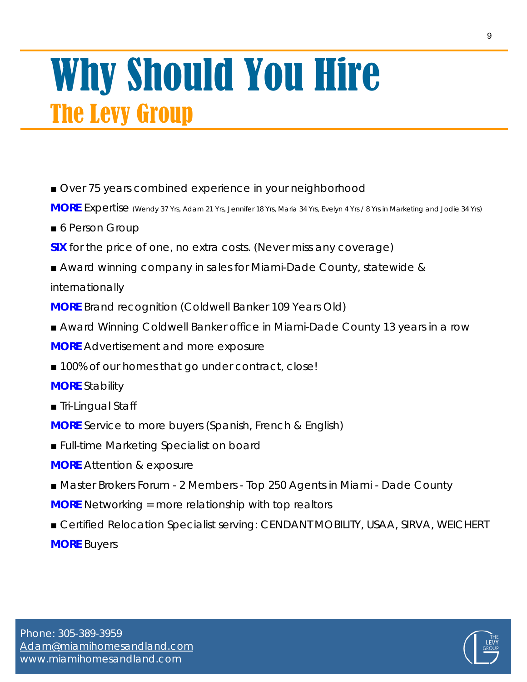### Why Should You Hire The Levy Group

■ Over 75 years combined experience in your neighborhood

**MORE** Expertise (Wendy <sup>37</sup> Yrs, Adam <sup>21</sup> Yrs, Jennifer <sup>18</sup> Yrs, Maria <sup>34</sup> Yrs, Evelyn <sup>4</sup> Yrs / <sup>8</sup> Yrs in Marketing and Jodie <sup>34</sup> Yrs)

- 6 Person Group
- **SIX** for the price of one, no extra costs. (Never miss any coverage)
- Award winning company in sales for Miami-Dade County, statewide & internationally

**MORE** Brand recognition (Coldwell Banker 109 Years Old)

- Award Winning Coldwell Banker office in Miami-Dade County 13 years in a row **MORE** Advertisement and more exposure
- 100% of our homes that go under contract, close!
- **MORE** Stability
- Tri-Lingual Staff
- **MORE** Service to more buyers (Spanish, French & English)
- Full-time Marketing Specialist on board
- **MORE** Attention & exposure
- Master Brokers Forum 2 Members Top 250 Agents in Miami Dade County
- **MORE** Networking = more relationship with top realtors
- Certified Relocation Specialist serving: CENDANT MOBILITY, USAA, SIRVA, WEICHERT **MORE** Buyers